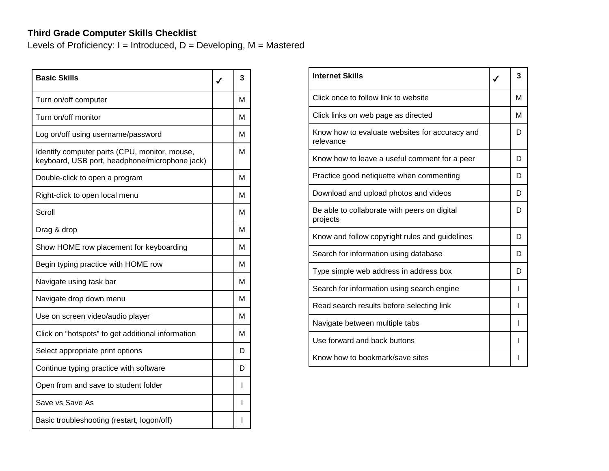## **Third Grade Computer Skills Checklist**

Levels of Proficiency:  $I = Introduced$ ,  $D = Development$ ,  $M = Mastered$ 

| <b>Basic Skills</b>                                                                             | 3 |
|-------------------------------------------------------------------------------------------------|---|
| Turn on/off computer                                                                            | м |
| Turn on/off monitor                                                                             | м |
| Log on/off using username/password                                                              | м |
| Identify computer parts (CPU, monitor, mouse,<br>keyboard, USB port, headphone/microphone jack) | М |
| Double-click to open a program                                                                  | м |
| Right-click to open local menu                                                                  | м |
| Scroll                                                                                          | м |
| Drag & drop                                                                                     | м |
| Show HOME row placement for keyboarding                                                         | м |
| Begin typing practice with HOME row                                                             | м |
| Navigate using task bar                                                                         | м |
| Navigate drop down menu                                                                         | м |
| Use on screen video/audio player                                                                | м |
| Click on "hotspots" to get additional information                                               | м |
| Select appropriate print options                                                                | D |
| Continue typing practice with software                                                          | D |
| Open from and save to student folder                                                            | L |
| Save vs Save As                                                                                 | I |
| Basic troubleshooting (restart, logon/off)                                                      | ı |

| <b>Internet Skills</b>                                      | 3 |
|-------------------------------------------------------------|---|
| Click once to follow link to website                        | М |
| Click links on web page as directed                         | м |
| Know how to evaluate websites for accuracy and<br>relevance | D |
| Know how to leave a useful comment for a peer               | D |
| Practice good netiquette when commenting                    | D |
| Download and upload photos and videos                       | D |
| Be able to collaborate with peers on digital<br>projects    | D |
| Know and follow copyright rules and guidelines              | D |
| Search for information using database                       | D |
| Type simple web address in address box                      | D |
| Search for information using search engine                  |   |
| Read search results before selecting link                   |   |
| Navigate between multiple tabs                              |   |
| Use forward and back buttons                                |   |
| Know how to bookmark/save sites                             |   |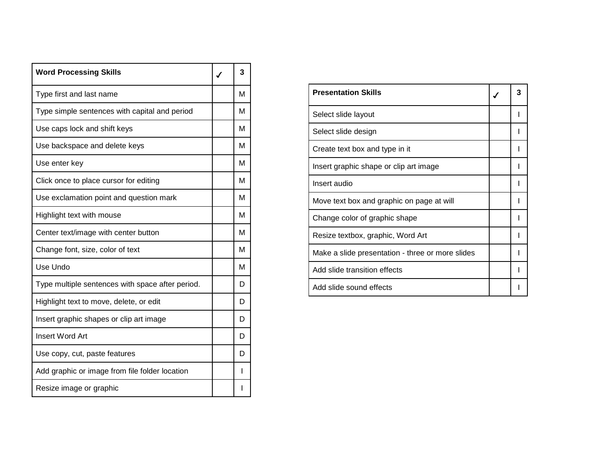| <b>Word Processing Skills</b>                    | 3 |
|--------------------------------------------------|---|
| Type first and last name                         | м |
| Type simple sentences with capital and period    | М |
| Use caps lock and shift keys                     | м |
| Use backspace and delete keys                    | м |
| Use enter key                                    | М |
| Click once to place cursor for editing           | м |
| Use exclamation point and question mark          | М |
| Highlight text with mouse                        | м |
| Center text/image with center button             | м |
| Change font, size, color of text                 | М |
| Use Undo                                         | м |
| Type multiple sentences with space after period. | D |
| Highlight text to move, delete, or edit          | D |
| Insert graphic shapes or clip art image          | D |
| <b>Insert Word Art</b>                           | D |
| Use copy, cut, paste features                    | D |
| Add graphic or image from file folder location   | ı |
| Resize image or graphic                          |   |

| <b>Presentation Skills</b>                       |  |
|--------------------------------------------------|--|
| Select slide layout                              |  |
| Select slide design                              |  |
| Create text box and type in it                   |  |
| Insert graphic shape or clip art image           |  |
| Insert audio                                     |  |
| Move text box and graphic on page at will        |  |
| Change color of graphic shape                    |  |
| Resize textbox, graphic, Word Art                |  |
| Make a slide presentation - three or more slides |  |
| Add slide transition effects                     |  |
| Add slide sound effects                          |  |